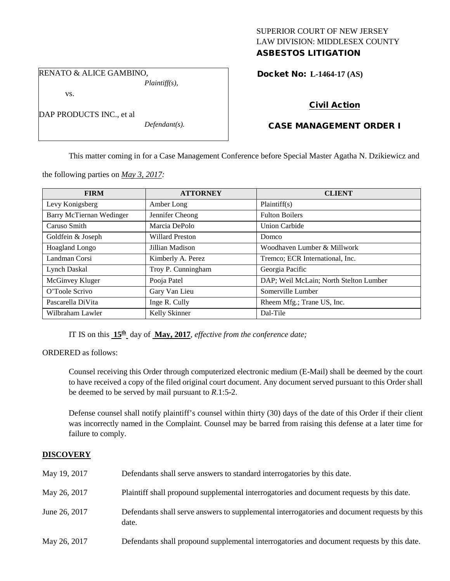## SUPERIOR COURT OF NEW JERSEY LAW DIVISION: MIDDLESEX COUNTY ASBESTOS LITIGATION

RENATO & ALICE GAMBINO, *Plaintiff(s),*

vs.

DAP PRODUCTS INC., et al

*Defendant(s).*

Docket No: **L-1464-17 (AS)** 

# Civil Action

# CASE MANAGEMENT ORDER I

This matter coming in for a Case Management Conference before Special Master Agatha N. Dzikiewicz and

the following parties on *May 3, 2017:*

| <b>FIRM</b>              | <b>ATTORNEY</b>        | <b>CLIENT</b>                          |
|--------------------------|------------------------|----------------------------------------|
| Levy Konigsberg          | Amber Long             | Plaintiff(s)                           |
| Barry McTiernan Wedinger | Jennifer Cheong        | <b>Fulton Boilers</b>                  |
| Caruso Smith             | Marcia DePolo          | Union Carbide                          |
| Goldfein & Joseph        | <b>Willard Preston</b> | Domco                                  |
| <b>Hoagland Longo</b>    | Jillian Madison        | Woodhaven Lumber & Millwork            |
| Landman Corsi            | Kimberly A. Perez      | Tremco; ECR International, Inc.        |
| <b>Lynch Daskal</b>      | Troy P. Cunningham     | Georgia Pacific                        |
| McGinvey Kluger          | Pooja Patel            | DAP; Weil McLain; North Stelton Lumber |
| O'Toole Scrivo           | Gary Van Lieu          | Somerville Lumber                      |
| Pascarella DiVita        | Inge R. Cully          | Rheem Mfg.; Trane US, Inc.             |
| Wilbraham Lawler         | Kelly Skinner          | Dal-Tile                               |

IT IS on this **15th** day of **May, 2017**, *effective from the conference date;*

ORDERED as follows:

Counsel receiving this Order through computerized electronic medium (E-Mail) shall be deemed by the court to have received a copy of the filed original court document. Any document served pursuant to this Order shall be deemed to be served by mail pursuant to *R*.1:5-2.

Defense counsel shall notify plaintiff's counsel within thirty (30) days of the date of this Order if their client was incorrectly named in the Complaint. Counsel may be barred from raising this defense at a later time for failure to comply.

## **DISCOVERY**

| May 19, 2017  | Defendants shall serve answers to standard interrogatories by this date.                              |
|---------------|-------------------------------------------------------------------------------------------------------|
| May 26, 2017  | Plaintiff shall propound supplemental interrogatories and document requests by this date.             |
| June 26, 2017 | Defendants shall serve answers to supplemental interrogatories and document requests by this<br>date. |
| May 26, 2017  | Defendants shall propound supplemental interrogatories and document requests by this date.            |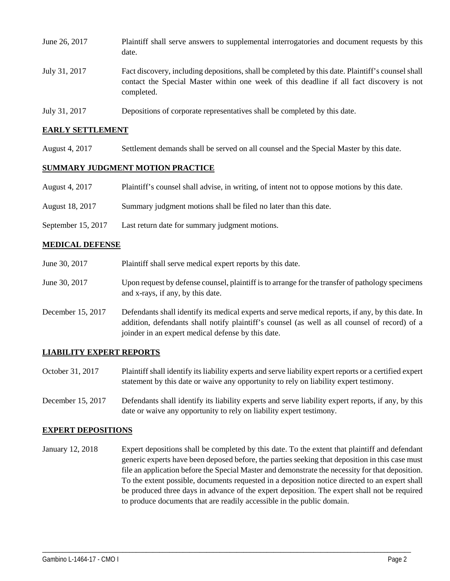| June 26, 2017 | Plaintiff shall serve answers to supplemental interrogatories and document requests by this<br>date.                                                                                                        |
|---------------|-------------------------------------------------------------------------------------------------------------------------------------------------------------------------------------------------------------|
| July 31, 2017 | Fact discovery, including depositions, shall be completed by this date. Plaintiff's counsel shall<br>contact the Special Master within one week of this deadline if all fact discovery is not<br>completed. |
| July 31, 2017 | Depositions of corporate representatives shall be completed by this date.                                                                                                                                   |

### **EARLY SETTLEMENT**

August 4, 2017 Settlement demands shall be served on all counsel and the Special Master by this date.

## **SUMMARY JUDGMENT MOTION PRACTICE**

|  | August 4, 2017 | Plaintiff's counsel shall advise, in writing, of intent not to oppose motions by this date. |  |  |  |
|--|----------------|---------------------------------------------------------------------------------------------|--|--|--|
|--|----------------|---------------------------------------------------------------------------------------------|--|--|--|

- August 18, 2017 Summary judgment motions shall be filed no later than this date.
- September 15, 2017 Last return date for summary judgment motions.

### **MEDICAL DEFENSE**

- June 30, 2017 Plaintiff shall serve medical expert reports by this date. June 30, 2017 Upon request by defense counsel, plaintiff is to arrange for the transfer of pathology specimens and x-rays, if any, by this date.
- December 15, 2017 Defendants shall identify its medical experts and serve medical reports, if any, by this date. In addition, defendants shall notify plaintiff's counsel (as well as all counsel of record) of a joinder in an expert medical defense by this date.

### **LIABILITY EXPERT REPORTS**

- October 31, 2017 Plaintiff shall identify its liability experts and serve liability expert reports or a certified expert statement by this date or waive any opportunity to rely on liability expert testimony.
- December 15, 2017 Defendants shall identify its liability experts and serve liability expert reports, if any, by this date or waive any opportunity to rely on liability expert testimony.

### **EXPERT DEPOSITIONS**

January 12, 2018 Expert depositions shall be completed by this date. To the extent that plaintiff and defendant generic experts have been deposed before, the parties seeking that deposition in this case must file an application before the Special Master and demonstrate the necessity for that deposition. To the extent possible, documents requested in a deposition notice directed to an expert shall be produced three days in advance of the expert deposition. The expert shall not be required to produce documents that are readily accessible in the public domain.

\_\_\_\_\_\_\_\_\_\_\_\_\_\_\_\_\_\_\_\_\_\_\_\_\_\_\_\_\_\_\_\_\_\_\_\_\_\_\_\_\_\_\_\_\_\_\_\_\_\_\_\_\_\_\_\_\_\_\_\_\_\_\_\_\_\_\_\_\_\_\_\_\_\_\_\_\_\_\_\_\_\_\_\_\_\_\_\_\_\_\_\_\_\_\_\_\_\_\_\_\_\_\_\_\_\_\_\_\_\_